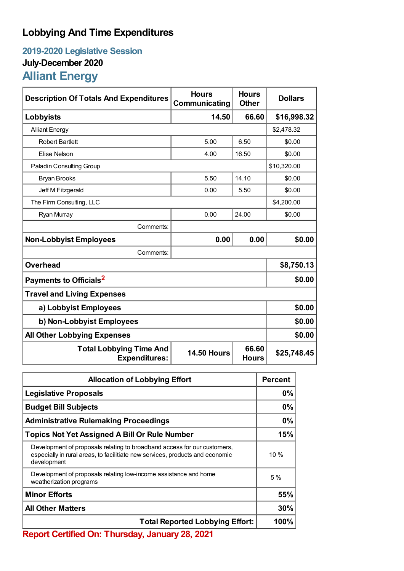## **Lobbying And Time Expenditures**

## **2019-2020 Legislative Session July-December 2020 Alliant Energy**

| <b>Description Of Totals And Expenditures</b>          | <b>Hours</b><br>Communicating | <b>Hours</b><br><b>Other</b> | <b>Dollars</b> |  |
|--------------------------------------------------------|-------------------------------|------------------------------|----------------|--|
| Lobbyists                                              | 14.50                         | 66.60                        | \$16,998.32    |  |
| <b>Alliant Energy</b>                                  |                               |                              | \$2,478.32     |  |
| <b>Robert Bartlett</b>                                 | 5.00                          | 6.50                         | \$0.00         |  |
| Elise Nelson                                           | 4.00                          | 16.50                        | \$0.00         |  |
| <b>Paladin Consulting Group</b>                        |                               |                              | \$10,320.00    |  |
| <b>Bryan Brooks</b>                                    | 5.50                          | 14.10                        | \$0.00         |  |
| Jeff M Fitzgerald                                      | 0.00                          | 5.50                         | \$0.00         |  |
| The Firm Consulting, LLC                               |                               |                              | \$4,200.00     |  |
| Ryan Murray                                            | 0.00                          | 24.00                        | \$0.00         |  |
| Comments:                                              |                               |                              |                |  |
| <b>Non-Lobbyist Employees</b>                          | 0.00                          | 0.00                         | \$0.00         |  |
| Comments:                                              |                               |                              |                |  |
| <b>Overhead</b>                                        |                               |                              | \$8,750.13     |  |
| Payments to Officials <sup>2</sup>                     |                               |                              | \$0.00         |  |
| <b>Travel and Living Expenses</b>                      |                               |                              |                |  |
| a) Lobbyist Employees                                  |                               |                              | \$0.00         |  |
| b) Non-Lobbyist Employees                              | \$0.00                        |                              |                |  |
| <b>All Other Lobbying Expenses</b>                     |                               |                              | \$0.00         |  |
| <b>Total Lobbying Time And</b><br><b>Expenditures:</b> | <b>14.50 Hours</b>            | 66.60<br><b>Hours</b>        | \$25,748.45    |  |

| <b>Allocation of Lobbying Effort</b>                                                                                                                                     |        |
|--------------------------------------------------------------------------------------------------------------------------------------------------------------------------|--------|
| <b>Legislative Proposals</b>                                                                                                                                             | 0%     |
| <b>Budget Bill Subjects</b>                                                                                                                                              | 0%     |
| <b>Administrative Rulemaking Proceedings</b>                                                                                                                             | 0%     |
| <b>Topics Not Yet Assigned A Bill Or Rule Number</b>                                                                                                                     |        |
| Development of proposals relating to broadband access for our customers,<br>especially in rural areas, to facilitiate new services, products and economic<br>development | $10\%$ |
| Development of proposals relating low-income assistance and home<br>weatherization programs                                                                              | 5%     |
| <b>Minor Efforts</b>                                                                                                                                                     | 55%    |
| <b>All Other Matters</b>                                                                                                                                                 |        |
| <b>Total Reported Lobbying Effort:</b>                                                                                                                                   |        |

**Report Certified On: Thursday, January 28, 2021**